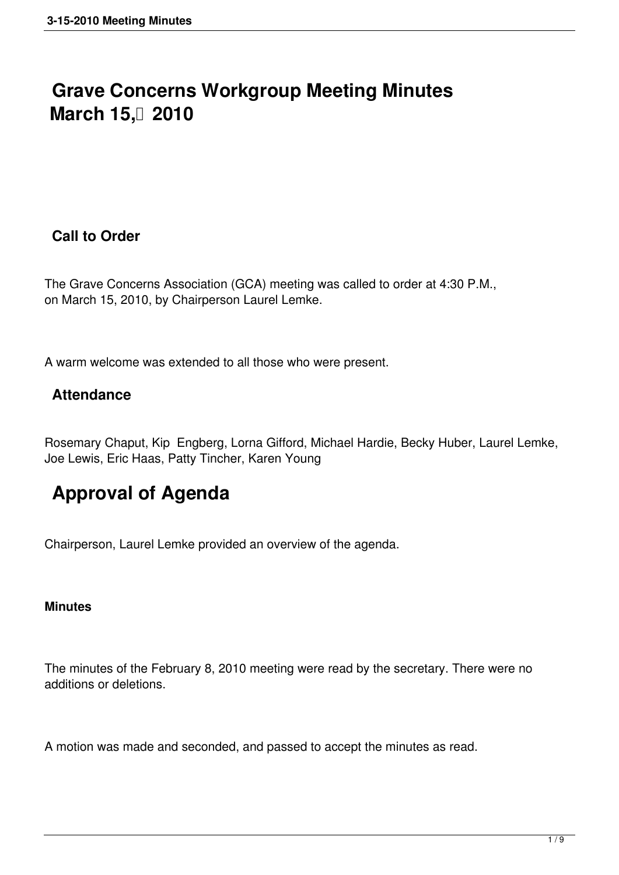# **Grave Concerns Workgroup Meeting Minutes March 15, 2010**

## **Call to Order**

The Grave Concerns Association (GCA) meeting was called to order at 4:30 P.M., on March 15, 2010, by Chairperson Laurel Lemke.

A warm welcome was extended to all those who were present.

## **Attendance**

Rosemary Chaput, Kip Engberg, Lorna Gifford, Michael Hardie, Becky Huber, Laurel Lemke, Joe Lewis, Eric Haas, Patty Tincher, Karen Young

## **Approval of Agenda**

Chairperson, Laurel Lemke provided an overview of the agenda.

#### **Minutes**

The minutes of the February 8, 2010 meeting were read by the secretary. There were no additions or deletions.

A motion was made and seconded, and passed to accept the minutes as read.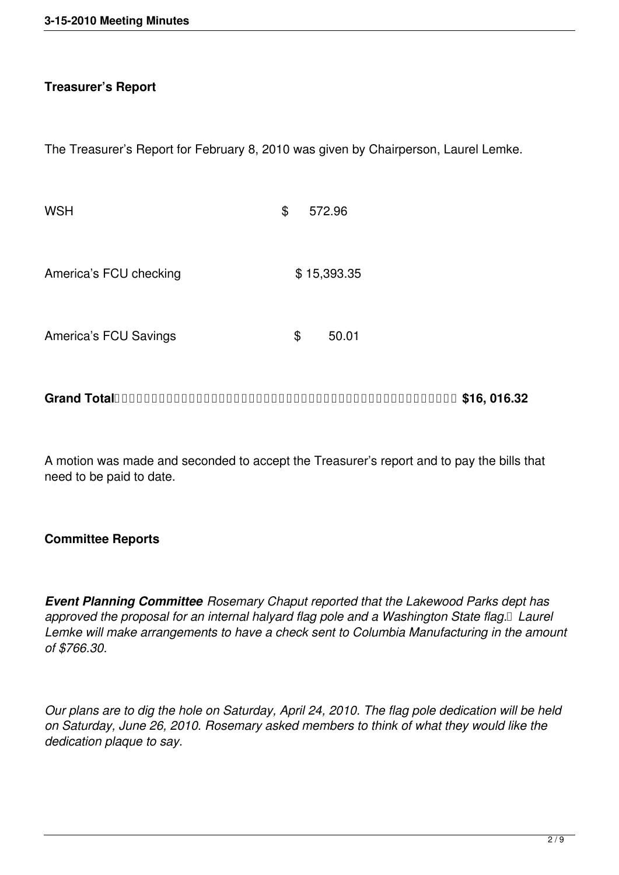#### **Treasurer's Report**

The Treasurer's Report for February 8, 2010 was given by Chairperson, Laurel Lemke.

| <b>WSH</b>             | \$<br>572.96 |
|------------------------|--------------|
| America's FCU checking | \$15,393.35  |
| America's FCU Savings  | \$<br>50.01  |

**Grand Total \$16, 016.32**

A motion was made and seconded to accept the Treasurer's report and to pay the bills that need to be paid to date.

#### **Committee Reports**

*Event Planning Committee Rosemary Chaput reported that the Lakewood Parks dept has approved the proposal for an internal halyard flag pole and a Washington State flag. Laurel Lemke will make arrangements to have a check sent to Columbia Manufacturing in the amount of \$766.30.* 

*Our plans are to dig the hole on Saturday, April 24, 2010. The flag pole dedication will be held on Saturday, June 26, 2010. Rosemary asked members to think of what they would like the dedication plaque to say.*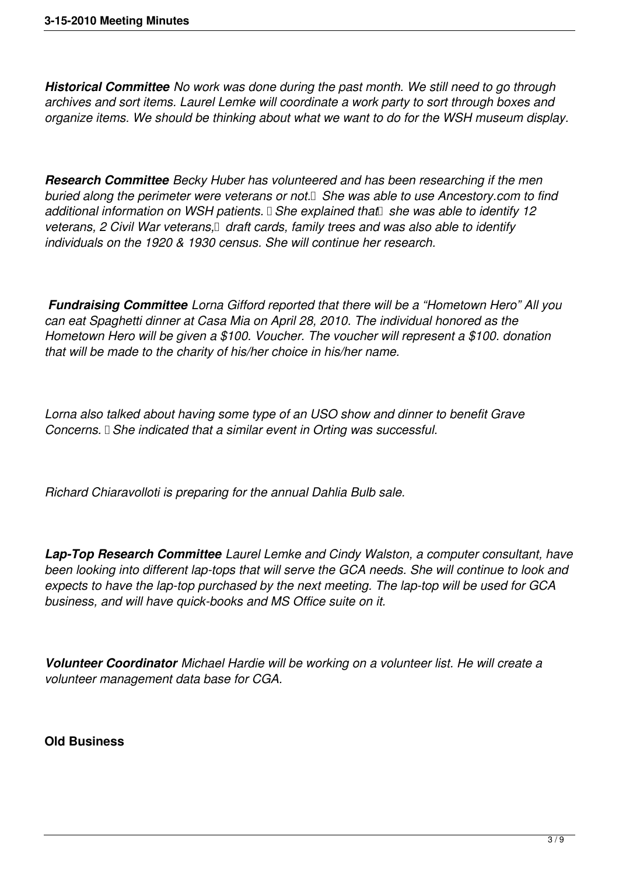*Historical Committee No work was done during the past month. We still need to go through archives and sort items. Laurel Lemke will coordinate a work party to sort through boxes and organize items. We should be thinking about what we want to do for the WSH museum display.* 

*Research Committee Becky Huber has volunteered and has been researching if the men buried along the perimeter were veterans or not.* Bhe was able to use Ancestory.com to find additional information on WSH patients. **I** She explained that *she was able to identify 12* veterans, 2 Civil War veterans, *draft cards, family trees and was also able to identify individuals on the 1920 & 1930 census. She will continue her research.*

 *Fundraising Committee Lorna Gifford reported that there will be a "Hometown Hero" All you can eat Spaghetti dinner at Casa Mia on April 28, 2010. The individual honored as the Hometown Hero will be given a \$100. Voucher. The voucher will represent a \$100. donation that will be made to the charity of his/her choice in his/her name.* 

*Lorna also talked about having some type of an USO show and dinner to benefit Grave Concerns. She indicated that a similar event in Orting was successful.* 

*Richard Chiaravolloti is preparing for the annual Dahlia Bulb sale.* 

*Lap-Top Research Committee Laurel Lemke and Cindy Walston, a computer consultant, have been looking into different lap-tops that will serve the GCA needs. She will continue to look and expects to have the lap-top purchased by the next meeting. The lap-top will be used for GCA business, and will have quick-books and MS Office suite on it.*

*Volunteer Coordinator Michael Hardie will be working on a volunteer list. He will create a volunteer management data base for CGA.* 

**Old Business**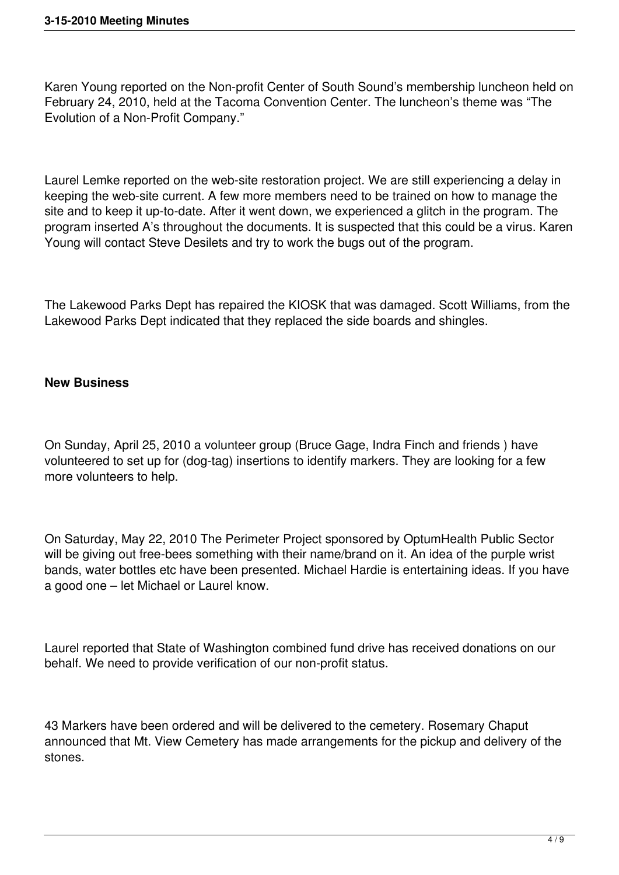Karen Young reported on the Non-profit Center of South Sound's membership luncheon held on February 24, 2010, held at the Tacoma Convention Center. The luncheon's theme was "The Evolution of a Non-Profit Company."

Laurel Lemke reported on the web-site restoration project. We are still experiencing a delay in keeping the web-site current. A few more members need to be trained on how to manage the site and to keep it up-to-date. After it went down, we experienced a glitch in the program. The program inserted A's throughout the documents. It is suspected that this could be a virus. Karen Young will contact Steve Desilets and try to work the bugs out of the program.

The Lakewood Parks Dept has repaired the KIOSK that was damaged. Scott Williams, from the Lakewood Parks Dept indicated that they replaced the side boards and shingles.

### **New Business**

On Sunday, April 25, 2010 a volunteer group (Bruce Gage, Indra Finch and friends ) have volunteered to set up for (dog-tag) insertions to identify markers. They are looking for a few more volunteers to help.

On Saturday, May 22, 2010 The Perimeter Project sponsored by OptumHealth Public Sector will be giving out free-bees something with their name/brand on it. An idea of the purple wrist bands, water bottles etc have been presented. Michael Hardie is entertaining ideas. If you have a good one – let Michael or Laurel know.

Laurel reported that State of Washington combined fund drive has received donations on our behalf. We need to provide verification of our non-profit status.

43 Markers have been ordered and will be delivered to the cemetery. Rosemary Chaput announced that Mt. View Cemetery has made arrangements for the pickup and delivery of the stones.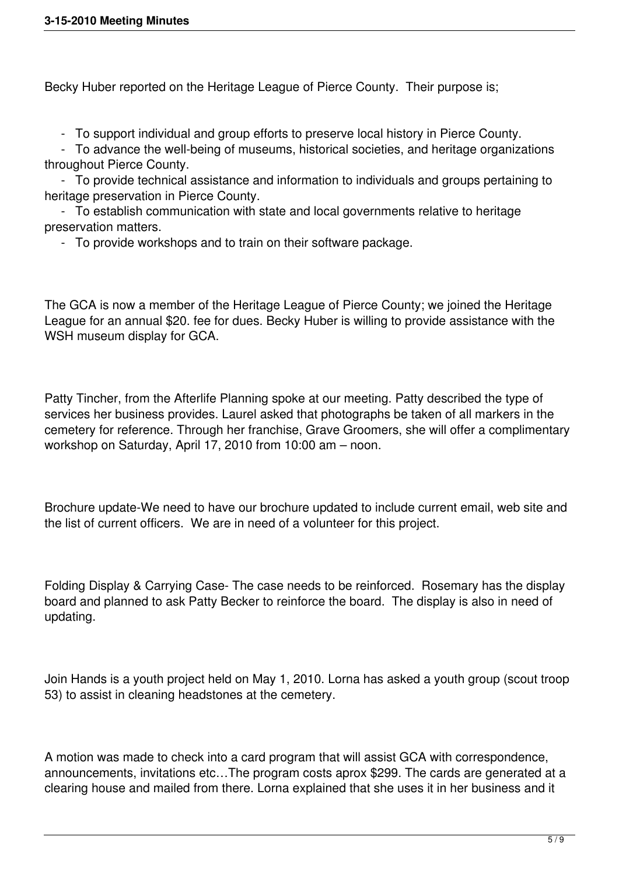Becky Huber reported on the Heritage League of Pierce County. Their purpose is;

- To support individual and group efforts to preserve local history in Pierce County.

 - To advance the well-being of museums, historical societies, and heritage organizations throughout Pierce County.

 - To provide technical assistance and information to individuals and groups pertaining to heritage preservation in Pierce County.

 - To establish communication with state and local governments relative to heritage preservation matters.

- To provide workshops and to train on their software package.

The GCA is now a member of the Heritage League of Pierce County; we joined the Heritage League for an annual \$20. fee for dues. Becky Huber is willing to provide assistance with the WSH museum display for GCA.

Patty Tincher, from the Afterlife Planning spoke at our meeting. Patty described the type of services her business provides. Laurel asked that photographs be taken of all markers in the cemetery for reference. Through her franchise, Grave Groomers, she will offer a complimentary workshop on Saturday, April 17, 2010 from 10:00 am – noon.

Brochure update-We need to have our brochure updated to include current email, web site and the list of current officers. We are in need of a volunteer for this project.

Folding Display & Carrying Case- The case needs to be reinforced. Rosemary has the display board and planned to ask Patty Becker to reinforce the board. The display is also in need of updating.

Join Hands is a youth project held on May 1, 2010. Lorna has asked a youth group (scout troop 53) to assist in cleaning headstones at the cemetery.

A motion was made to check into a card program that will assist GCA with correspondence, announcements, invitations etc…The program costs aprox \$299. The cards are generated at a clearing house and mailed from there. Lorna explained that she uses it in her business and it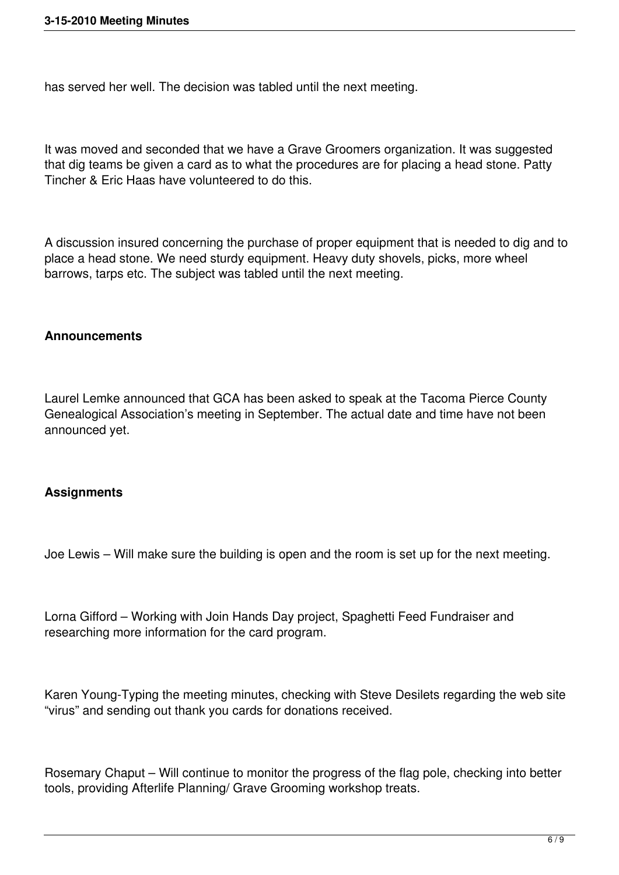has served her well. The decision was tabled until the next meeting.

It was moved and seconded that we have a Grave Groomers organization. It was suggested that dig teams be given a card as to what the procedures are for placing a head stone. Patty Tincher & Eric Haas have volunteered to do this.

A discussion insured concerning the purchase of proper equipment that is needed to dig and to place a head stone. We need sturdy equipment. Heavy duty shovels, picks, more wheel barrows, tarps etc. The subject was tabled until the next meeting.

#### **Announcements**

Laurel Lemke announced that GCA has been asked to speak at the Tacoma Pierce County Genealogical Association's meeting in September. The actual date and time have not been announced yet.

#### **Assignments**

Joe Lewis – Will make sure the building is open and the room is set up for the next meeting.

Lorna Gifford – Working with Join Hands Day project, Spaghetti Feed Fundraiser and researching more information for the card program.

Karen Young-Typing the meeting minutes, checking with Steve Desilets regarding the web site "virus" and sending out thank you cards for donations received.

Rosemary Chaput – Will continue to monitor the progress of the flag pole, checking into better tools, providing Afterlife Planning/ Grave Grooming workshop treats.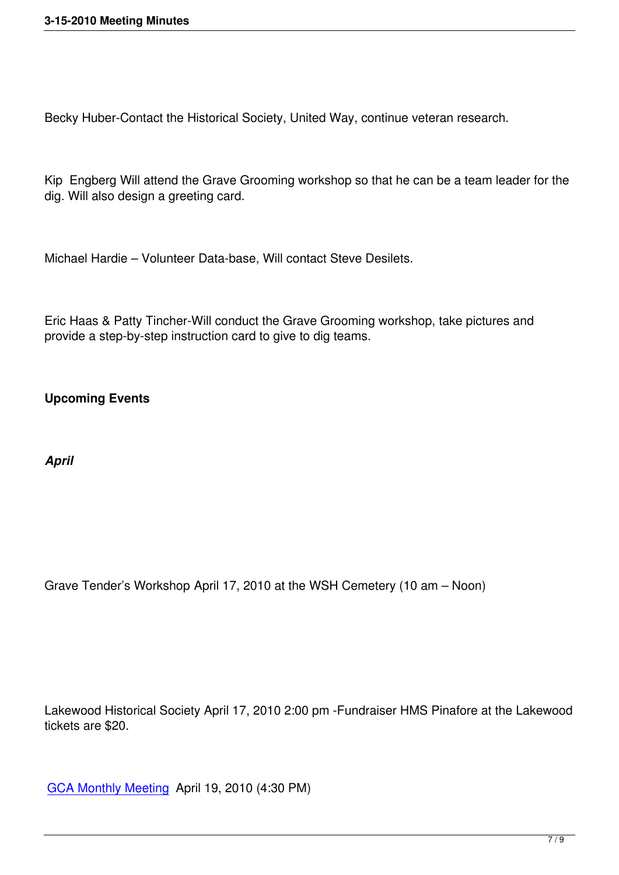Becky Huber-Contact the Historical Society, United Way, continue veteran research.

Kip Engberg Will attend the Grave Grooming workshop so that he can be a team leader for the dig. Will also design a greeting card.

Michael Hardie – Volunteer Data-base, Will contact Steve Desilets.

Eric Haas & Patty Tincher-Will conduct the Grave Grooming workshop, take pictures and provide a step-by-step instruction card to give to dig teams.

**Upcoming Events**

*April*

Grave Tender's Workshop April 17, 2010 at the WSH Cemetery (10 am – Noon)

Lakewood Historical Society April 17, 2010 2:00 pm -Fundraiser HMS Pinafore at the Lakewood tickets are \$20.

GCA Monthly Meeting April 19, 2010 (4:30 PM)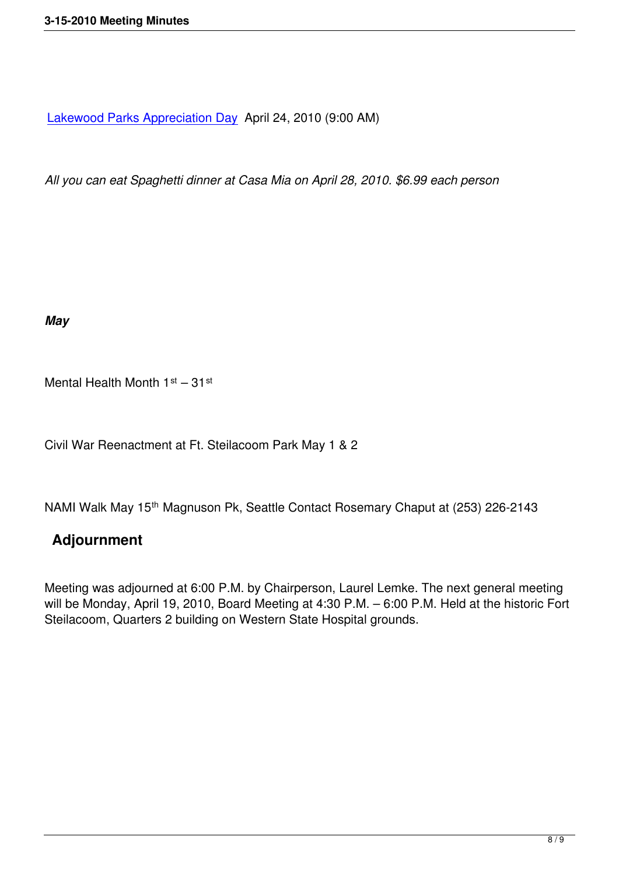*[All you can eat Spaghetti dinner at C](http://www.wshgraveconcerns.org/component/jcalpro/view/26/12.html)asa Mia on April 28, 2010. \$6.99 each person*

*May*

Mental Health Month  $1<sup>st</sup> - 31<sup>st</sup>$ 

Civil War Reenactment at Ft. Steilacoom Park May 1 & 2

NAMI Walk May 15<sup>th</sup> Magnuson Pk, Seattle Contact Rosemary Chaput at (253) 226-2143

### **Adjournment**

Meeting was adjourned at 6:00 P.M. by Chairperson, Laurel Lemke. The next general meeting will be Monday, April 19, 2010, Board Meeting at 4:30 P.M. – 6:00 P.M. Held at the historic Fort Steilacoom, Quarters 2 building on Western State Hospital grounds.